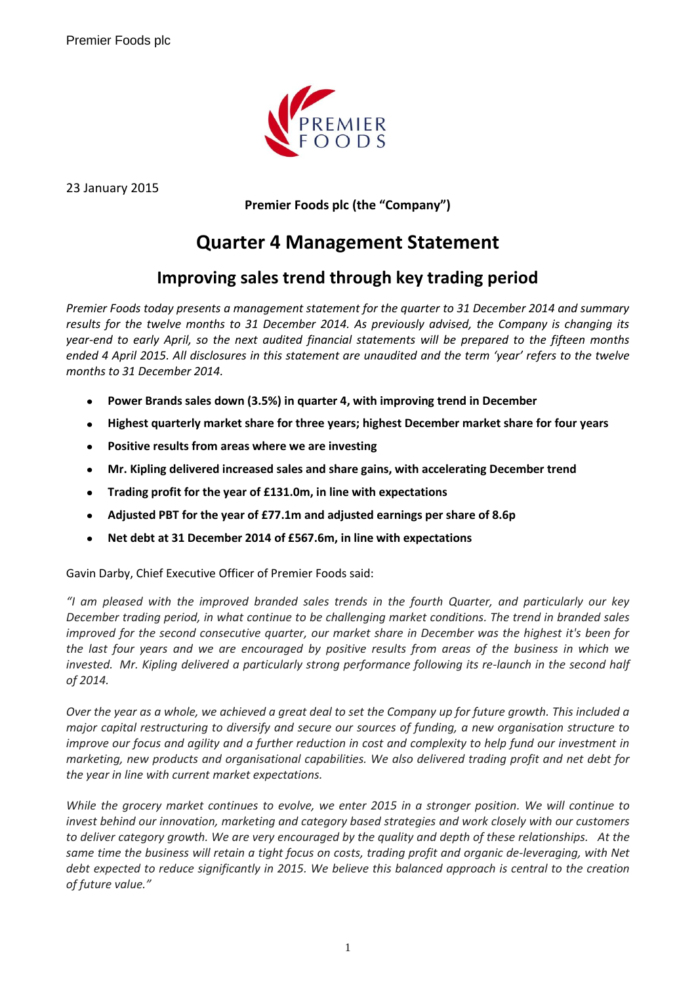

23 January 2015

**Premier Foods plc (the "Company")**

# **Quarter 4 Management Statement**

# **Improving sales trend through key trading period**

*Premier Foods today presents a management statement for the quarter to 31 December 2014 and summary results for the twelve months to 31 December 2014. As previously advised, the Company is changing its year-end to early April, so the next audited financial statements will be prepared to the fifteen months ended 4 April 2015. All disclosures in this statement are unaudited and the term 'year' refers to the twelve months to 31 December 2014.*

- $\bullet$ **Power Brands sales down (3.5%) in quarter 4, with improving trend in December**
- **Highest quarterly market share for three years; highest December market share for four years**  $\bullet$
- **Positive results from areas where we are investing**  $\bullet$
- $\bullet$ **Mr. Kipling delivered increased sales and share gains, with accelerating December trend**
- **Trading profit for the year of £131.0m, in line with expectations**  $\bullet$
- $\bullet$ **Adjusted PBT for the year of £77.1m and adjusted earnings per share of 8.6p**
- **Net debt at 31 December 2014 of £567.6m, in line with expectations**

Gavin Darby, Chief Executive Officer of Premier Foods said:

*"I am pleased with the improved branded sales trends in the fourth Quarter, and particularly our key December trading period, in what continue to be challenging market conditions. The trend in branded sales improved for the second consecutive quarter, our market share in December was the highest it's been for the last four years and we are encouraged by positive results from areas of the business in which we invested. Mr. Kipling delivered a particularly strong performance following its re-launch in the second half of 2014.*

*Over the year as a whole, we achieved a great deal to set the Company up for future growth. This included a major capital restructuring to diversify and secure our sources of funding, a new organisation structure to improve our focus and agility and a further reduction in cost and complexity to help fund our investment in marketing, new products and organisational capabilities. We also delivered trading profit and net debt for the year in line with current market expectations.*

*While the grocery market continues to evolve, we enter 2015 in a stronger position. We will continue to invest behind our innovation, marketing and category based strategies and work closely with our customers to deliver category growth. We are very encouraged by the quality and depth of these relationships. At the same time the business will retain a tight focus on costs, trading profit and organic de-leveraging, with Net debt expected to reduce significantly in 2015. We believe this balanced approach is central to the creation of future value."*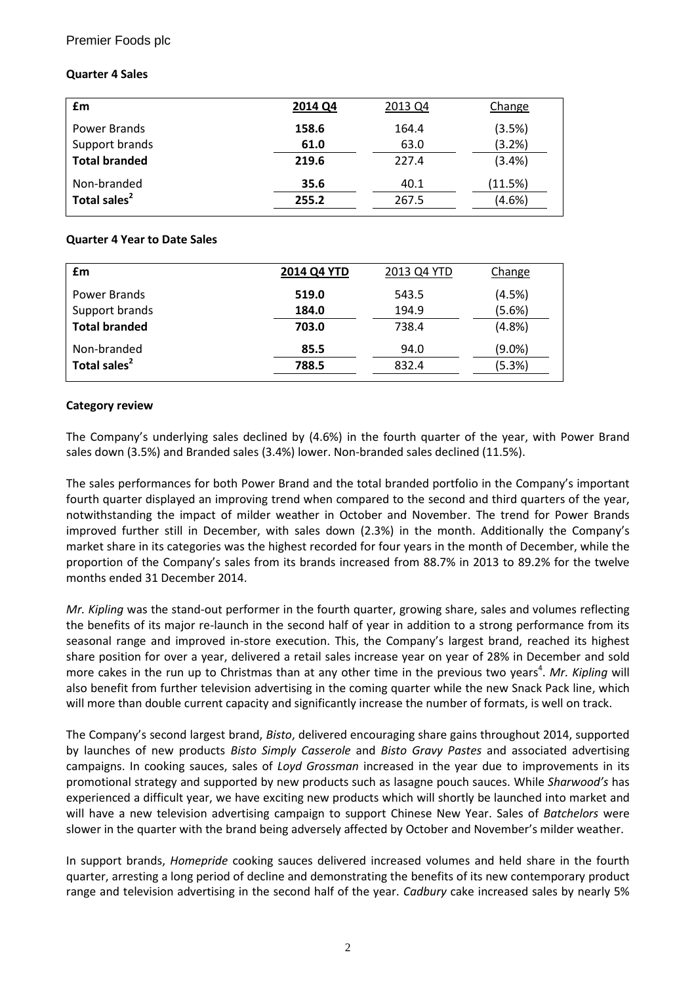# Premier Foods plc

# **Quarter 4 Sales**

| £m                       | 2014 Q4 | 2013 Q4 | Change  |
|--------------------------|---------|---------|---------|
| Power Brands             | 158.6   | 164.4   | (3.5%)  |
| Support brands           | 61.0    | 63.0    | (3.2%)  |
| <b>Total branded</b>     | 219.6   | 227.4   | (3.4% ) |
| Non-branded              | 35.6    | 40.1    | (11.5%) |
| Total sales <sup>2</sup> | 255.2   | 267.5   | (4.6%)  |

#### **Quarter 4 Year to Date Sales**

| £m                       | 2014 Q4 YTD | 2013 Q4 YTD | Change    |
|--------------------------|-------------|-------------|-----------|
| Power Brands             | 519.0       | 543.5       | (4.5%)    |
| Support brands           | 184.0       | 194.9       | (5.6%)    |
| <b>Total branded</b>     | 703.0       | 738.4       | (4.8%)    |
| Non-branded              | 85.5        | 94.0        | $(9.0\%)$ |
| Total sales <sup>2</sup> | 788.5       | 832.4       | (5.3%)    |

# **Category review**

The Company's underlying sales declined by (4.6%) in the fourth quarter of the year, with Power Brand sales down (3.5%) and Branded sales (3.4%) lower. Non-branded sales declined (11.5%).

The sales performances for both Power Brand and the total branded portfolio in the Company's important fourth quarter displayed an improving trend when compared to the second and third quarters of the year, notwithstanding the impact of milder weather in October and November. The trend for Power Brands improved further still in December, with sales down (2.3%) in the month. Additionally the Company's market share in its categories was the highest recorded for four years in the month of December, while the proportion of the Company's sales from its brands increased from 88.7% in 2013 to 89.2% for the twelve months ended 31 December 2014.

*Mr. Kipling* was the stand-out performer in the fourth quarter, growing share, sales and volumes reflecting the benefits of its major re-launch in the second half of year in addition to a strong performance from its seasonal range and improved in-store execution. This, the Company's largest brand, reached its highest share position for over a year, delivered a retail sales increase year on year of 28% in December and sold more cakes in the run up to Christmas than at any other time in the previous two years<sup>4</sup>. Mr. Kipling will also benefit from further television advertising in the coming quarter while the new Snack Pack line, which will more than double current capacity and significantly increase the number of formats, is well on track.

The Company's second largest brand, *Bisto*, delivered encouraging share gains throughout 2014, supported by launches of new products *Bisto Simply Casserole* and *Bisto Gravy Pastes* and associated advertising campaigns. In cooking sauces, sales of *Loyd Grossman* increased in the year due to improvements in its promotional strategy and supported by new products such as lasagne pouch sauces. While *Sharwood's* has experienced a difficult year, we have exciting new products which will shortly be launched into market and will have a new television advertising campaign to support Chinese New Year. Sales of *Batchelors* were slower in the quarter with the brand being adversely affected by October and November's milder weather.

In support brands, *Homepride* cooking sauces delivered increased volumes and held share in the fourth quarter, arresting a long period of decline and demonstrating the benefits of its new contemporary product range and television advertising in the second half of the year. *Cadbury* cake increased sales by nearly 5%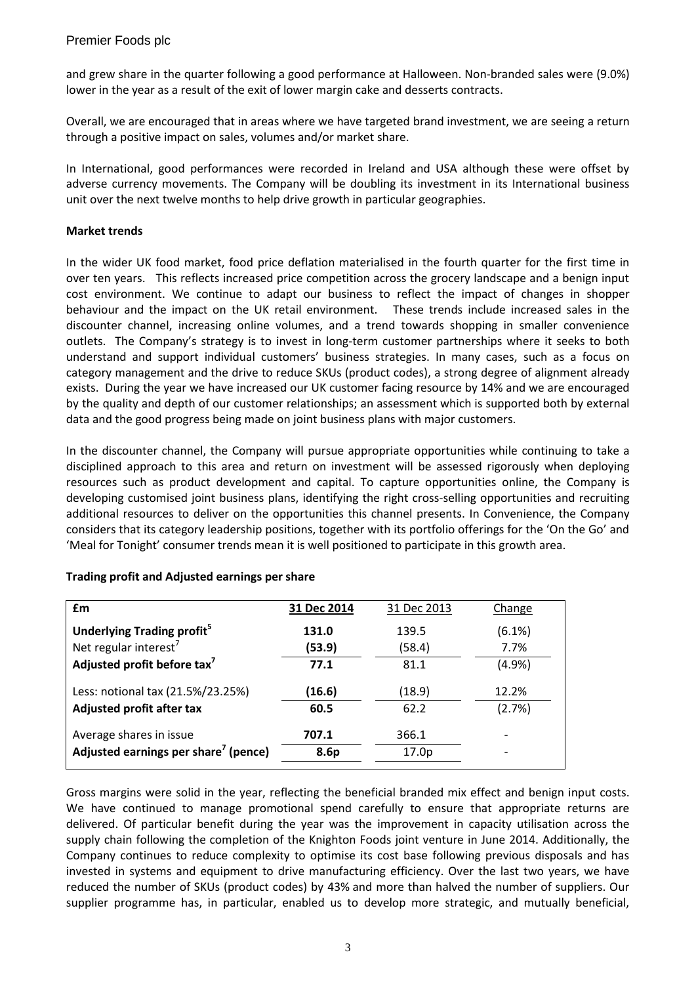and grew share in the quarter following a good performance at Halloween. Non-branded sales were (9.0%) lower in the year as a result of the exit of lower margin cake and desserts contracts.

Overall, we are encouraged that in areas where we have targeted brand investment, we are seeing a return through a positive impact on sales, volumes and/or market share.

In International, good performances were recorded in Ireland and USA although these were offset by adverse currency movements. The Company will be doubling its investment in its International business unit over the next twelve months to help drive growth in particular geographies.

#### **Market trends**

In the wider UK food market, food price deflation materialised in the fourth quarter for the first time in over ten years. This reflects increased price competition across the grocery landscape and a benign input cost environment. We continue to adapt our business to reflect the impact of changes in shopper behaviour and the impact on the UK retail environment. These trends include increased sales in the discounter channel, increasing online volumes, and a trend towards shopping in smaller convenience outlets. The Company's strategy is to invest in long-term customer partnerships where it seeks to both understand and support individual customers' business strategies. In many cases, such as a focus on category management and the drive to reduce SKUs (product codes), a strong degree of alignment already exists. During the year we have increased our UK customer facing resource by 14% and we are encouraged by the quality and depth of our customer relationships; an assessment which is supported both by external data and the good progress being made on joint business plans with major customers.

In the discounter channel, the Company will pursue appropriate opportunities while continuing to take a disciplined approach to this area and return on investment will be assessed rigorously when deploying resources such as product development and capital. To capture opportunities online, the Company is developing customised joint business plans, identifying the right cross-selling opportunities and recruiting additional resources to deliver on the opportunities this channel presents. In Convenience, the Company considers that its category leadership positions, together with its portfolio offerings for the 'On the Go' and 'Meal for Tonight' consumer trends mean it is well positioned to participate in this growth area.

| £m                                               | 31 Dec 2014 | 31 Dec 2013       | Change                   |
|--------------------------------------------------|-------------|-------------------|--------------------------|
| Underlying Trading profit <sup>5</sup>           | 131.0       | 139.5             | (6.1%)                   |
| Net regular interest <sup>7</sup>                | (53.9)      | (58.4)            | 7.7%                     |
| Adjusted profit before tax <sup>7</sup>          | 77.1        | 81.1              | (4.9%                    |
| Less: notional tax (21.5%/23.25%)                | (16.6)      | (18.9)            | 12.2%                    |
| <b>Adjusted profit after tax</b>                 | 60.5        | 62.2              | (2.7%)                   |
| Average shares in issue                          | 707.1       | 366.1             |                          |
| Adjusted earnings per share <sup>7</sup> (pence) | 8.6p        | 17.0 <sub>p</sub> | $\overline{\phantom{a}}$ |

#### **Trading profit and Adjusted earnings per share**

Gross margins were solid in the year, reflecting the beneficial branded mix effect and benign input costs. We have continued to manage promotional spend carefully to ensure that appropriate returns are delivered. Of particular benefit during the year was the improvement in capacity utilisation across the supply chain following the completion of the Knighton Foods joint venture in June 2014. Additionally, the Company continues to reduce complexity to optimise its cost base following previous disposals and has invested in systems and equipment to drive manufacturing efficiency. Over the last two years, we have reduced the number of SKUs (product codes) by 43% and more than halved the number of suppliers. Our supplier programme has, in particular, enabled us to develop more strategic, and mutually beneficial,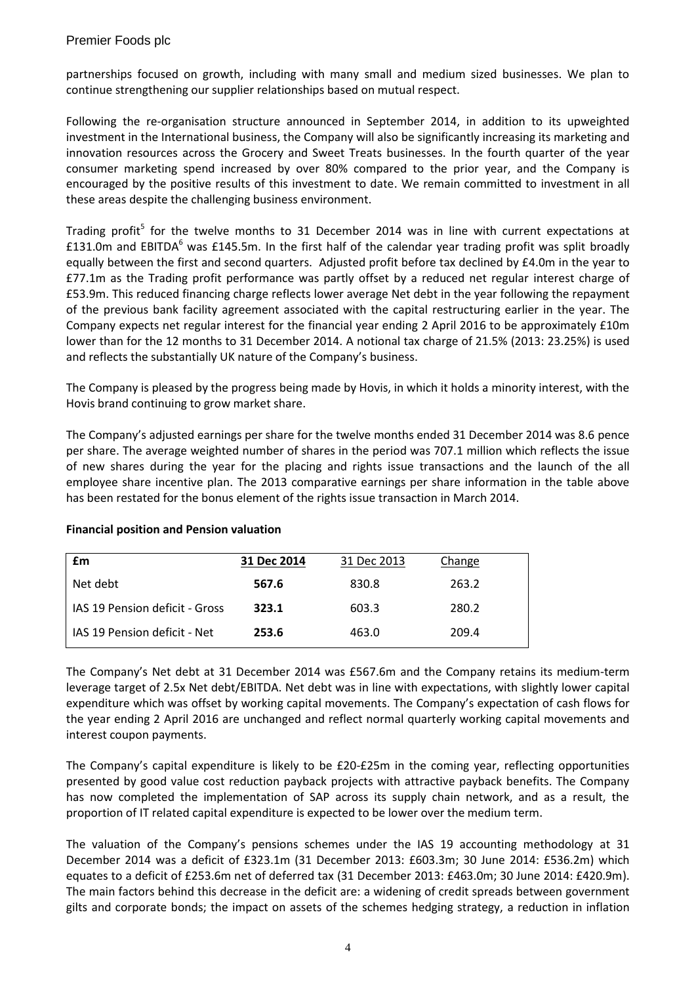partnerships focused on growth, including with many small and medium sized businesses. We plan to continue strengthening our supplier relationships based on mutual respect.

Following the re-organisation structure announced in September 2014, in addition to its upweighted investment in the International business, the Company will also be significantly increasing its marketing and innovation resources across the Grocery and Sweet Treats businesses. In the fourth quarter of the year consumer marketing spend increased by over 80% compared to the prior year, and the Company is encouraged by the positive results of this investment to date. We remain committed to investment in all these areas despite the challenging business environment.

Trading profit<sup>5</sup> for the twelve months to 31 December 2014 was in line with current expectations at £131.0m and EBITDA<sup>6</sup> was £145.5m. In the first half of the calendar year trading profit was split broadly equally between the first and second quarters. Adjusted profit before tax declined by £4.0m in the year to £77.1m as the Trading profit performance was partly offset by a reduced net regular interest charge of £53.9m. This reduced financing charge reflects lower average Net debt in the year following the repayment of the previous bank facility agreement associated with the capital restructuring earlier in the year. The Company expects net regular interest for the financial year ending 2 April 2016 to be approximately £10m lower than for the 12 months to 31 December 2014. A notional tax charge of 21.5% (2013: 23.25%) is used and reflects the substantially UK nature of the Company's business.

The Company is pleased by the progress being made by Hovis, in which it holds a minority interest, with the Hovis brand continuing to grow market share.

The Company's adjusted earnings per share for the twelve months ended 31 December 2014 was 8.6 pence per share. The average weighted number of shares in the period was 707.1 million which reflects the issue of new shares during the year for the placing and rights issue transactions and the launch of the all employee share incentive plan. The 2013 comparative earnings per share information in the table above has been restated for the bonus element of the rights issue transaction in March 2014.

| £m                             | 31 Dec 2014 | 31 Dec 2013 | Change |  |
|--------------------------------|-------------|-------------|--------|--|
| Net debt                       | 567.6       | 830.8       | 263.2  |  |
| IAS 19 Pension deficit - Gross | 323.1       | 603.3       | 280.2  |  |
| IAS 19 Pension deficit - Net   | 253.6       | 463.0       | 209.4  |  |

# **Financial position and Pension valuation**

The Company's Net debt at 31 December 2014 was £567.6m and the Company retains its medium-term leverage target of 2.5x Net debt/EBITDA. Net debt was in line with expectations, with slightly lower capital expenditure which was offset by working capital movements. The Company's expectation of cash flows for the year ending 2 April 2016 are unchanged and reflect normal quarterly working capital movements and interest coupon payments.

The Company's capital expenditure is likely to be £20-£25m in the coming year, reflecting opportunities presented by good value cost reduction payback projects with attractive payback benefits. The Company has now completed the implementation of SAP across its supply chain network, and as a result, the proportion of IT related capital expenditure is expected to be lower over the medium term.

The valuation of the Company's pensions schemes under the IAS 19 accounting methodology at 31 December 2014 was a deficit of £323.1m (31 December 2013: £603.3m; 30 June 2014: £536.2m) which equates to a deficit of £253.6m net of deferred tax (31 December 2013: £463.0m; 30 June 2014: £420.9m). The main factors behind this decrease in the deficit are: a widening of credit spreads between government gilts and corporate bonds; the impact on assets of the schemes hedging strategy, a reduction in inflation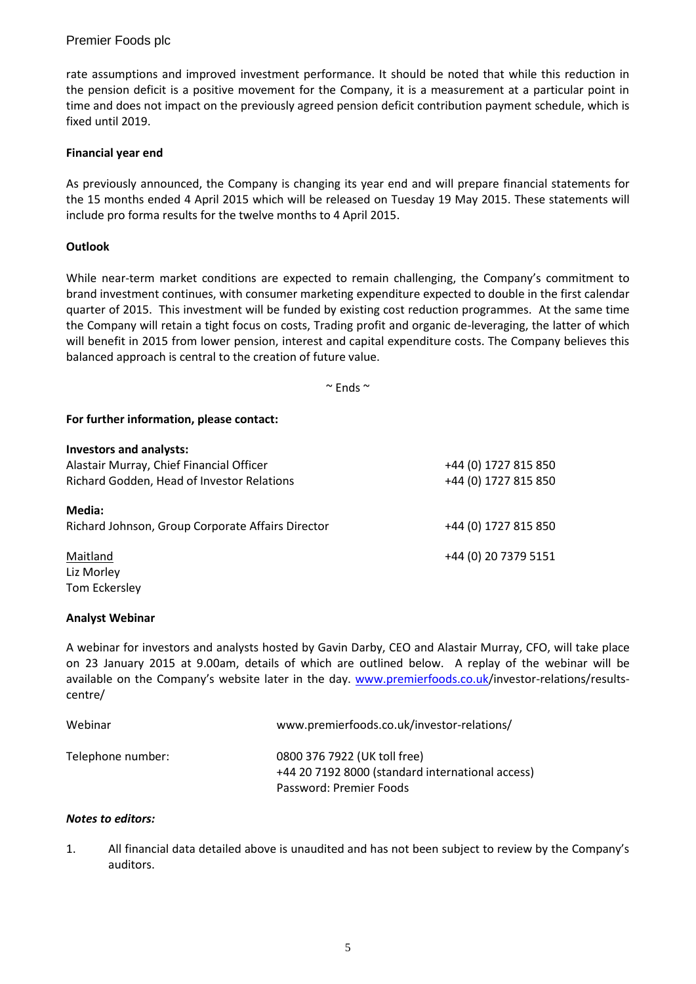# Premier Foods plc

rate assumptions and improved investment performance. It should be noted that while this reduction in the pension deficit is a positive movement for the Company, it is a measurement at a particular point in time and does not impact on the previously agreed pension deficit contribution payment schedule, which is fixed until 2019.

#### **Financial year end**

As previously announced, the Company is changing its year end and will prepare financial statements for the 15 months ended 4 April 2015 which will be released on Tuesday 19 May 2015. These statements will include pro forma results for the twelve months to 4 April 2015.

# **Outlook**

While near-term market conditions are expected to remain challenging, the Company's commitment to brand investment continues, with consumer marketing expenditure expected to double in the first calendar quarter of 2015. This investment will be funded by existing cost reduction programmes. At the same time the Company will retain a tight focus on costs, Trading profit and organic de-leveraging, the latter of which will benefit in 2015 from lower pension, interest and capital expenditure costs. The Company believes this balanced approach is central to the creation of future value.

 $\sim$  Ends  $\sim$ 

# **For further information, please contact:**

| <b>Investors and analysts:</b>                    |                      |
|---------------------------------------------------|----------------------|
| Alastair Murray, Chief Financial Officer          | +44 (0) 1727 815 850 |
| Richard Godden, Head of Investor Relations        | +44 (0) 1727 815 850 |
| Media:                                            |                      |
| Richard Johnson, Group Corporate Affairs Director | +44 (0) 1727 815 850 |
| Maitland                                          | +44 (0) 20 7379 5151 |
| Liz Morley                                        |                      |
| Tom Eckersley                                     |                      |

#### **Analyst Webinar**

A webinar for investors and analysts hosted by Gavin Darby, CEO and Alastair Murray, CFO, will take place on 23 January 2015 at 9.00am, details of which are outlined below. A replay of the webinar will be available on the Company's website later in the day. [www.premierfoods.co.uk/](http://www.premierfoods.co.uk/)investor-relations/resultscentre/

| Webinar           | www.premierfoods.co.uk/investor-relations/                                                                  |
|-------------------|-------------------------------------------------------------------------------------------------------------|
| Telephone number: | 0800 376 7922 (UK toll free)<br>+44 20 7192 8000 (standard international access)<br>Password: Premier Foods |

#### *Notes to editors:*

1. All financial data detailed above is unaudited and has not been subject to review by the Company's auditors.